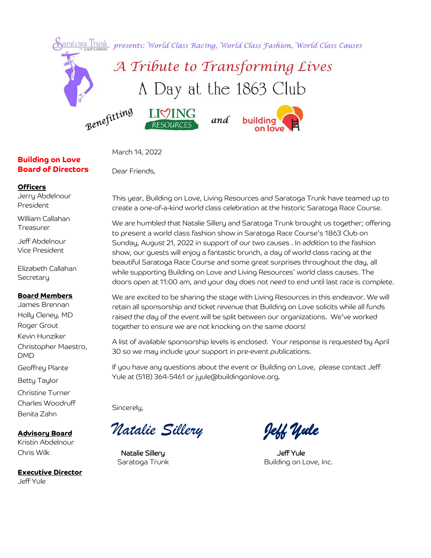

March 14, 2022

Dear Friends,

#### **Officers**

Jerry Abdelnour President

**Building on Love Board of Directors**

William Callahan Treasurer

Jeff Abdelnour Vice President

Elizabeth Callahan **Secretary** 

#### **Board Members**

James Brennan Holly Cleney, MD Roger Grout Kevin Hunziker Christopher Maestro, DMD Geoffrey Plante Betty Taylor Christine Turner Charles Woodruff Benita Zahn

**Advisory Board** Kristin Abdelnour Chris Wilk

**Executive Director** Jeff Yule

This year, Building on Love, Living Resources and Saratoga Trunk have teamed up to create a one-of-a-kind world class celebration at the historic Saratoga Race Course.

We are humbled that Natalie Sillery and Saratoga Trunk brought us together; offering to present a world class fashion show in Saratoga Race Course's 1863 Club on Sunday, August 21, 2022 in support of our two causes . In addition to the fashion show, our guests will enjoy a fantastic brunch, a day of world class racing at the beautiful Saratoga Race Course and some great surprises throughout the day, all while supporting Building on Love and Living Resources' world class causes. The doors open at 11:00 am, and your day does not need to end until last race is complete.

We are excited to be sharing the stage with Living Resources in this endeavor. We will retain all sponsorship and ticket revenue that Building on Love solicits while all funds raised the day of the event will be split between our organizations. We've worked together to ensure we are not knocking on the same doors!

A list of available sponsorship levels is enclosed. Your response is requested by April 30 so we may include your support in pre-event publications.

If you have any questions about the event or Building on Love, please contact Jeff Yule at (518) 364-5461 or jyule@buildingonlove.org.

Sincerely,

*Natalie Sillery Jeff Yule* 

Natalie Sillery and the Matalie Sillery and the Matalie Sillery

Saratoga Trunk Building on Love, Inc.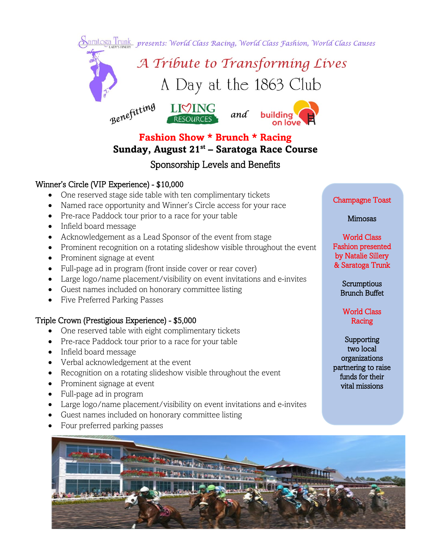Saratoga Trunk presents: World Class Racing, World Class Fashion, World Class Causes



**Fashion Show \* Brunch \* Racing**

# **Sunday, August 21st – Saratoga Race Course**

# Sponsorship Levels and Benefits

### Winner's Circle (VIP Experience) - \$10,000

- One reserved stage side table with ten complimentary tickets
- Named race opportunity and Winner's Circle access for your race
- Pre-race Paddock tour prior to a race for your table
- Infield board message
- Acknowledgement as a Lead Sponsor of the event from stage
- Prominent recognition on a rotating slideshow visible throughout the event
- Prominent signage at event
- Full-page ad in program (front inside cover or rear cover)
- Large logo/name placement/visibility on event invitations and e-invites
- Guest names included on honorary committee listing
- Five Preferred Parking Passes

#### Triple Crown (Prestigious Experience) - \$5,000

- One reserved table with eight complimentary tickets
- Pre-race Paddock tour prior to a race for your table
- Infield board message
- Verbal acknowledgement at the event
- Recognition on a rotating slideshow visible throughout the event
- Prominent signage at event
- Full-page ad in program
- Large logo/name placement/visibility on event invitations and e-invites
- Guest names included on honorary committee listing
- Four preferred parking passes

#### Champagne Toast

#### Mimosas

World Class Fashion presented by Natalie Sillery & Saratoga Trunk

> **Scrumptious** Brunch Buffet

World Class Racing

**Supporting** two local organizations partnering to raise funds for their vital missions

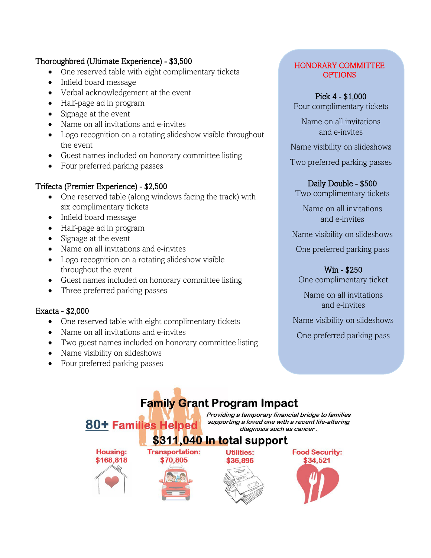### Thoroughbred (Ultimate Experience) - \$3,500

- One reserved table with eight complimentary tickets
- Infield board message
- Verbal acknowledgement at the event
- Half-page ad in program
- Signage at the event
- Name on all invitations and e-invites
- Logo recognition on a rotating slideshow visible throughout the event
- Guest names included on honorary committee listing
- Four preferred parking passes

# Trifecta (Premier Experience) - \$2,500

- One reserved table (along windows facing the track) with six complimentary tickets
- Infield board message
- Half-page ad in program
- Signage at the event
- Name on all invitations and e-invites
- Logo recognition on a rotating slideshow visible throughout the event
- Guest names included on honorary committee listing
- Three preferred parking passes

# Exacta - \$2,000

- One reserved table with eight complimentary tickets
- Name on all invitations and e-invites
- Two guest names included on honorary committee listing
- Name visibility on slideshows
- Four preferred parking passes

#### HONORARY COMMITTEE **OPTIONS**

# Pick 4 - \$1,000

Four complimentary tickets

Name on all invitations and e-invites

Name visibility on slideshows

Two preferred parking passes

### Daily Double - \$500

Two complimentary tickets

Name on all invitations and e-invites

Name visibility on slideshows

One preferred parking pass

# Win - \$250

One complimentary ticket

Name on all invitations and e-invites

Name visibility on slideshows

One preferred parking pass